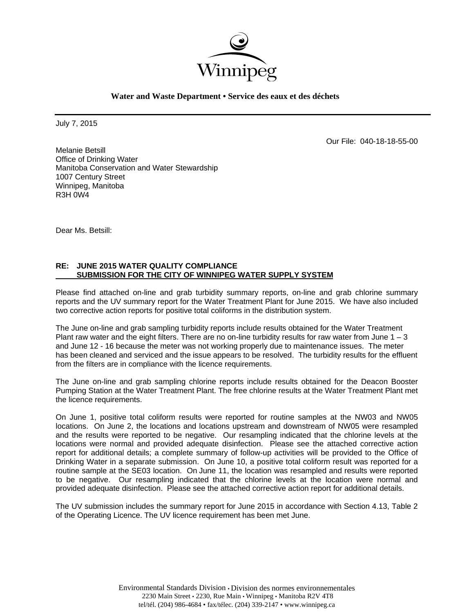

July 7, 2015

Our File: 040-18-18-55-00

Melanie Betsill Office of Drinking Water Manitoba Conservation and Water Stewardship 1007 Century Street Winnipeg, Manitoba R3H 0W4

Dear Ms. Betsill:

### **RE: JUNE 2015 WATER QUALITY COMPLIANCE SUBMISSION FOR THE CITY OF WINNIPEG WATER SUPPLY SYSTEM**

Please find attached on-line and grab turbidity summary reports, on-line and grab chlorine summary reports and the UV summary report for the Water Treatment Plant for June 2015. We have also included two corrective action reports for positive total coliforms in the distribution system.

The June on-line and grab sampling turbidity reports include results obtained for the Water Treatment Plant raw water and the eight filters. There are no on-line turbidity results for raw water from June  $1 - 3$ and June 12 - 16 because the meter was not working properly due to maintenance issues. The meter has been cleaned and serviced and the issue appears to be resolved. The turbidity results for the effluent from the filters are in compliance with the licence requirements.

The June on-line and grab sampling chlorine reports include results obtained for the Deacon Booster Pumping Station at the Water Treatment Plant. The free chlorine results at the Water Treatment Plant met the licence requirements.

On June 1, positive total coliform results were reported for routine samples at the NW03 and NW05 locations. On June 2, the locations and locations upstream and downstream of NW05 were resampled and the results were reported to be negative. Our resampling indicated that the chlorine levels at the locations were normal and provided adequate disinfection. Please see the attached corrective action report for additional details; a complete summary of follow-up activities will be provided to the Office of Drinking Water in a separate submission. On June 10, a positive total coliform result was reported for a routine sample at the SE03 location. On June 11, the location was resampled and results were reported to be negative. Our resampling indicated that the chlorine levels at the location were normal and provided adequate disinfection. Please see the attached corrective action report for additional details.

The UV submission includes the summary report for June 2015 in accordance with Section 4.13, Table 2 of the Operating Licence. The UV licence requirement has been met June.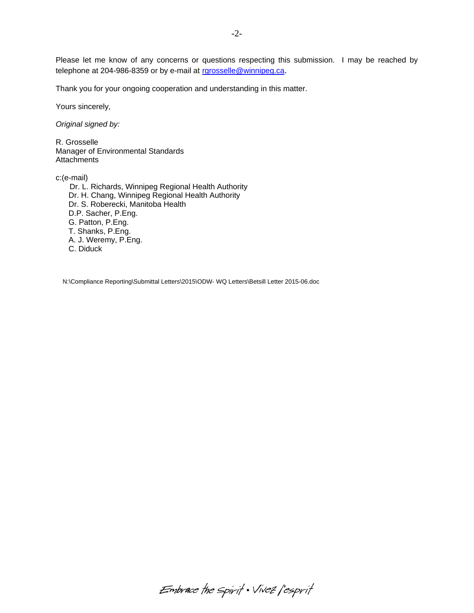Please let me know of any concerns or questions respecting this submission. I may be reached by telephone at 204-986-8359 or by e-mail at rgrosselle@winnipeg.ca.

Thank you for your ongoing cooperation and understanding in this matter.

Yours sincerely,

*Original signed by:* 

R. Grosselle Manager of Environmental Standards **Attachments** 

c:(e-mail) Dr. L. Richards, Winnipeg Regional Health Authority Dr. H. Chang, Winnipeg Regional Health Authority Dr. S. Roberecki, Manitoba Health D.P. Sacher, P.Eng. G. Patton, P.Eng. T. Shanks, P.Eng. A. J. Weremy, P.Eng. C. Diduck

N:\Compliance Reporting\Submittal Letters\2015\ODW- WQ Letters\Betsill Letter 2015-06.doc

Embrace the spirit . Vivez l'esprit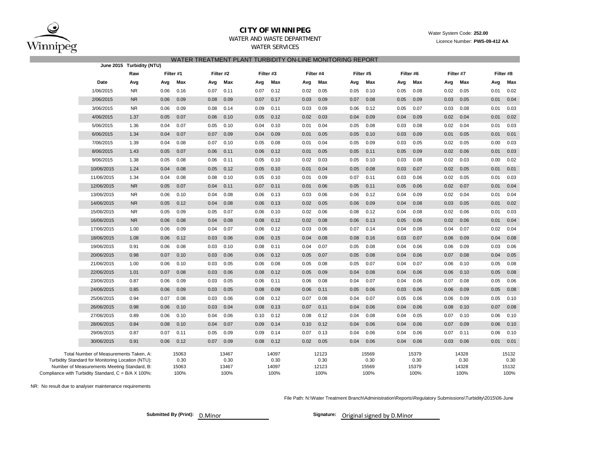

### **CITY OF WINNIPEG**

#### WATER AND WASTE DEPARTMENT

WATER SERVICES

#### Water System Code: **252.00** Licence Number: **PWS-09-412 AA**

|  |  |  | WATER TREATMENT PLANT TURBIDITY ON-LINE MONITORING REPORT |  |
|--|--|--|-----------------------------------------------------------|--|
|  |  |  |                                                           |  |

|                                                                                                                                                                                                   | June 2015 Turbidity (NTU) |                                |           |                                |           |                                |      |                                |      |                                |      |                                |      |                                |      |                                |
|---------------------------------------------------------------------------------------------------------------------------------------------------------------------------------------------------|---------------------------|--------------------------------|-----------|--------------------------------|-----------|--------------------------------|------|--------------------------------|------|--------------------------------|------|--------------------------------|------|--------------------------------|------|--------------------------------|
| Raw                                                                                                                                                                                               |                           | Filter #1                      | Filter #2 |                                | Filter #3 |                                |      | Filter #4                      |      | Filter #5                      |      | Filter #6                      |      | Filter #7                      |      | Filter #8                      |
| Date<br>Avg                                                                                                                                                                                       | Avg                       | Max                            | Avg       | Max                            | Avg       | Max                            | Avg  | Max                            | Avg  | Max                            | Avg  | Max                            | Avg  | Max                            | Avg  | Max                            |
| 1/06/2015<br><b>NR</b>                                                                                                                                                                            | 0.06                      | 0.16                           | 0.07      | 0.11                           | 0.07      | 0.12                           | 0.02 | 0.05                           | 0.05 | 0.10                           | 0.05 | 0.08                           | 0.02 | 0.05                           | 0.01 | 0.02                           |
| 2/06/2015<br>NR                                                                                                                                                                                   | 0.06                      | 0.09                           | 0.08      | 0.09                           | 0.07      | 0.17                           | 0.03 | 0.09                           | 0.07 | 0.08                           | 0.05 | 0.09                           | 0.03 | 0.05                           | 0.01 | 0.04                           |
| 3/06/2015<br>NR.                                                                                                                                                                                  | 0.06                      | 0.09                           | 0.08      | 0.14                           | 0.09      | 0.11                           | 0.03 | 0.09                           | 0.06 | 0.12                           | 0.05 | 0.07                           | 0.03 | 0.08                           | 0.01 | 0.03                           |
| 4/06/2015<br>1.37                                                                                                                                                                                 | 0.05                      | 0.07                           | 0.06      | 0.10                           | 0.05      | 0.12                           | 0.02 | 0.03                           | 0.04 | 0.09                           | 0.04 | 0.09                           | 0.02 | 0.04                           | 0.01 | 0.02                           |
| 5/06/2015<br>1.36                                                                                                                                                                                 | 0.04                      | 0.07                           | 0.05      | 0.10                           | 0.04      | 0.10                           | 0.01 | 0.04                           | 0.05 | 0.08                           | 0.03 | 0.08                           | 0.02 | 0.04                           | 0.01 | 0.03                           |
| 6/06/2015<br>1.34                                                                                                                                                                                 | 0.04                      | 0.07                           | 0.07      | 0.09                           | 0.04      | 0.09                           | 0.01 | 0.05                           | 0.05 | 0.10                           | 0.03 | 0.09                           | 0.01 | 0.05                           | 0.01 | 0.01                           |
| 7/06/2015<br>1.39                                                                                                                                                                                 | 0.04                      | 0.08                           | 0.07      | 0.10                           | 0.05      | 0.08                           | 0.01 | 0.04                           | 0.05 | 0.09                           | 0.03 | 0.05                           | 0.02 | 0.05                           | 0.00 | 0.03                           |
| 8/06/2015<br>1.43                                                                                                                                                                                 | 0.05                      | 0.07                           | 0.06      | 0.11                           | 0.06      | 0.12                           | 0.01 | 0.05                           | 0.05 | 0.11                           | 0.05 | 0.09                           | 0.02 | 0.06                           | 0.01 | 0.03                           |
| 9/06/2015<br>1.38                                                                                                                                                                                 | 0.05                      | 0.08                           | 0.06      | 0.11                           | 0.05      | 0.10                           | 0.02 | 0.03                           | 0.05 | 0.10                           | 0.03 | 0.08                           | 0.02 | 0.03                           | 0.00 | 0.02                           |
| 10/06/2015<br>1.24                                                                                                                                                                                | 0.04                      | 0.08                           | 0.05      | 0.12                           | 0.05      | 0.10                           | 0.01 | 0.04                           | 0.05 | 0.08                           | 0.03 | 0.07                           | 0.02 | 0.05                           | 0.01 | 0.01                           |
| 11/06/2015<br>1.34                                                                                                                                                                                | 0.04                      | 0.08                           | 0.08      | 0.10                           | 0.05      | 0.10                           | 0.01 | 0.09                           | 0.07 | 0.11                           | 0.03 | 0.06                           | 0.02 | 0.05                           | 0.01 | 0.03                           |
| 12/06/2015<br><b>NR</b>                                                                                                                                                                           | 0.05                      | 0.07                           | 0.04      | 0.11                           | 0.07      | 0.11                           | 0.01 | 0.06                           | 0.05 | 0.11                           | 0.05 | 0.06                           | 0.02 | 0.07                           | 0.01 | 0.04                           |
| NR.<br>13/06/2015                                                                                                                                                                                 | 0.06                      | 0.10                           | 0.04      | 0.08                           | 0.06      | 0.13                           | 0.03 | 0.06                           | 0.06 | 0.12                           | 0.04 | 0.09                           | 0.02 | 0.04                           | 0.01 | 0.04                           |
| 14/06/2015<br>NR                                                                                                                                                                                  | 0.05                      | 0.12                           | 0.04      | 0.08                           | 0.06      | 0.13                           | 0.02 | 0.05                           | 0.06 | 0.09                           | 0.04 | 0.08                           | 0.03 | 0.05                           | 0.01 | 0.02                           |
| 15/06/2015<br>NR                                                                                                                                                                                  | 0.05                      | 0.09                           | 0.05      | 0.07                           | 0.06      | 0.10                           | 0.02 | 0.06                           | 0.08 | 0.12                           | 0.04 | 0.08                           | 0.02 | 0.06                           | 0.01 | 0.03                           |
| 16/06/2015<br><b>NR</b>                                                                                                                                                                           | 0.06                      | 0.08                           | 0.04      | 0.08                           | 0.08      | 0.12                           | 0.02 | 0.08                           | 0.06 | 0.13                           | 0.05 | 0.06                           | 0.02 | 0.06                           | 0.01 | 0.04                           |
| 17/06/2015<br>1.00                                                                                                                                                                                | 0.06                      | 0.09                           | 0.04      | 0.07                           | 0.06      | 0.12                           | 0.03 | 0.06                           | 0.07 | 0.14                           | 0.04 | 0.08                           | 0.04 | 0.07                           | 0.02 | 0.04                           |
| 18/06/2015<br>1.08                                                                                                                                                                                | 0.06                      | 0.12                           | 0.03      | 0.06                           | 0.06      | 0.15                           | 0.04 | 0.08                           | 0.08 | 0.16                           | 0.03 | 0.07                           | 0.06 | 0.09                           | 0.04 | 0.08                           |
| 19/06/2015<br>0.91                                                                                                                                                                                | 0.06                      | 0.08                           | 0.03      | 0.10                           | 0.08      | 0.11                           | 0.04 | 0.07                           | 0.05 | 0.08                           | 0.04 | 0.06                           | 0.06 | 0.09                           | 0.03 | 0.06                           |
| 20/06/2015<br>0.98                                                                                                                                                                                | 0.07                      | 0.10                           | 0.03      | 0.06                           | 0.06      | 0.12                           | 0.05 | 0.07                           | 0.05 | 0.08                           | 0.04 | 0.06                           | 0.07 | 0.08                           | 0.04 | 0.05                           |
| 21/06/2015<br>1.00                                                                                                                                                                                | 0.06                      | 0.10                           | 0.03      | 0.05                           | 0.06      | 0.08                           | 0.05 | 0.08                           | 0.05 | 0.07                           | 0.04 | 0.07                           | 0.06 | 0.10                           | 0.05 | 0.08                           |
| 22/06/2015<br>1.01                                                                                                                                                                                | 0.07                      | 0.08                           | 0.03      | 0.06                           | 0.08      | 0.12                           | 0.05 | 0.09                           | 0.04 | 0.08                           | 0.04 | 0.06                           | 0.06 | 0.10                           | 0.05 | 0.08                           |
| 23/06/2015<br>0.87                                                                                                                                                                                | 0.06                      | 0.09                           | 0.03      | 0.05                           | 0.06      | 0.11                           | 0.06 | 0.08                           | 0.04 | 0.07                           | 0.04 | 0.06                           | 0.07 | 0.08                           | 0.05 | 0.06                           |
| 24/06/2015<br>0.85                                                                                                                                                                                | 0.06                      | 0.09                           | 0.03      | 0.05                           | 0.08      | 0.09                           | 0.06 | 0.11                           | 0.05 | 0.06                           | 0.03 | 0.06                           | 0.06 | 0.09                           | 0.05 | 0.08                           |
| 25/06/2015<br>0.94                                                                                                                                                                                | 0.07                      | 0.08                           | 0.03      | 0.06                           | 0.08      | 0.12                           | 0.07 | 0.08                           | 0.04 | 0.07                           | 0.05 | 0.06                           | 0.06 | 0.09                           | 0.05 | 0.10                           |
| 26/06/2015<br>0.98                                                                                                                                                                                | 0.06                      | 0.10                           | 0.03      | 0.04                           | 0.08      | 0.13                           | 0.07 | 0.11                           | 0.04 | 0.06                           | 0.04 | 0.06                           | 0.08 | 0.10                           | 0.07 | 0.08                           |
| 27/06/2015<br>0.89                                                                                                                                                                                | 0.06                      | 0.10                           | 0.04      | 0.06                           | 0.10      | 0.12                           | 0.08 | 0.12                           | 0.04 | 0.08                           | 0.04 | 0.05                           | 0.07 | 0.10                           | 0.06 | 0.10                           |
| 28/06/2015<br>0.84                                                                                                                                                                                | 0.08                      | 0.10                           | 0.04      | 0.07                           | 0.09      | 0.14                           | 0.10 | 0.12                           | 0.04 | 0.06                           | 0.04 | 0.06                           | 0.07 | 0.09                           | 0.06 | 0.10                           |
| 29/06/2015<br>0.87                                                                                                                                                                                | 0.07                      | 0.11                           | 0.05      | 0.09                           | 0.09      | 0.14                           | 0.07 | 0.13                           | 0.04 | 0.06                           | 0.04 | 0.06                           | 0.07 | 0.11                           | 0.06 | 0.10                           |
| 30/06/2015<br>0.91                                                                                                                                                                                | 0.06                      | 0.12                           | 0.07      | 0.09                           | 0.08      | 0.12                           | 0.02 | 0.05                           | 0.04 | 0.06                           | 0.04 | 0.06                           | 0.03 | 0.06                           | 0.01 | 0.01                           |
| Total Number of Measurements Taken, A:<br>Turbidity Standard for Monitoring Location (NTU):<br>Number of Measurements Meeting Standard, B:<br>Compliance with Turbidity Standard, C = B/A X 100%: |                           | 15063<br>0.30<br>15063<br>100% |           | 13467<br>0.30<br>13467<br>100% |           | 14097<br>0.30<br>14097<br>100% |      | 12123<br>0.30<br>12123<br>100% |      | 15569<br>0.30<br>15569<br>100% |      | 15379<br>0.30<br>15379<br>100% |      | 14328<br>0.30<br>14328<br>100% |      | 15132<br>0.30<br>15132<br>100% |

NR: No result due to analyser maintenance requirements

File Path: N:\Water Treatment Branch\Administration\Reports\Regulatory Submissions\Turbidity\2015\06-June

**Submitted By (Print): D.Minor** 

Signature: Original signed by D.Minor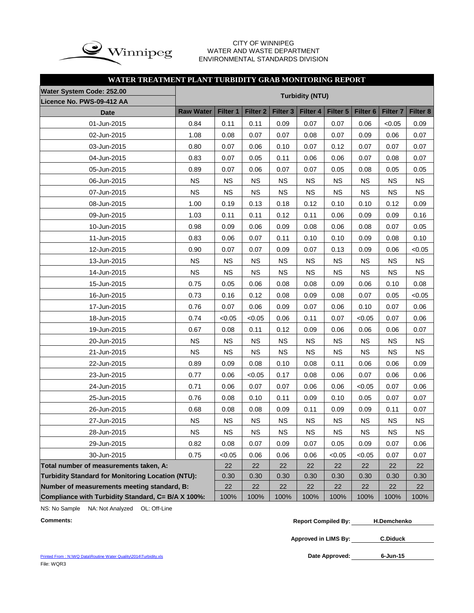

#### CITY OF WINNIPEG WATER AND WASTE DEPARTMENT ENVIRONMENTAL STANDARDS DIVISION

### **WATER TREATMENT PLANT TURBIDITY GRAB MONITORING REPORT**

| Water System Code: 252.00                          |                  |             |                 |                     |             |                 | <b>Turbidity (NTU)</b> |                 |           |  |  |  |  |  |  |  |  |  |  |
|----------------------------------------------------|------------------|-------------|-----------------|---------------------|-------------|-----------------|------------------------|-----------------|-----------|--|--|--|--|--|--|--|--|--|--|
| Licence No. PWS-09-412 AA                          |                  |             |                 |                     |             |                 |                        |                 |           |  |  |  |  |  |  |  |  |  |  |
| <b>Date</b>                                        | <b>Raw Water</b> | Filter 1    | <b>Filter 2</b> | Filter <sub>3</sub> | Filter 4    | <b>Filter 5</b> | Filter <sub>6</sub>    | <b>Filter 7</b> | Filter 8  |  |  |  |  |  |  |  |  |  |  |
| 01-Jun-2015                                        | 0.84             | 0.11        | 0.11            | 0.09                | 0.07        | 0.07            | 0.06                   | < 0.05          | 0.09      |  |  |  |  |  |  |  |  |  |  |
| 02-Jun-2015                                        | 1.08             | 0.08        | 0.07            | 0.07                | 0.08        | 0.07            | 0.09                   | 0.06            | 0.07      |  |  |  |  |  |  |  |  |  |  |
| 03-Jun-2015                                        | 0.80             | 0.07        | 0.06            | 0.10                | 0.07        | 0.12            | 0.07                   | 0.07            | 0.07      |  |  |  |  |  |  |  |  |  |  |
| 04-Jun-2015                                        | 0.83             | 0.07        | 0.05            | 0.11                | 0.06        | 0.06            | 0.07                   | 0.08            | 0.07      |  |  |  |  |  |  |  |  |  |  |
| 05-Jun-2015                                        | 0.89             | 0.07        | 0.06            | 0.07                | 0.07        | 0.05            | 0.08                   | 0.05            | 0.05      |  |  |  |  |  |  |  |  |  |  |
| 06-Jun-2015                                        | <b>NS</b>        | <b>NS</b>   | <b>NS</b>       | <b>NS</b>           | <b>NS</b>   | <b>NS</b>       | <b>NS</b>              | <b>NS</b>       | <b>NS</b> |  |  |  |  |  |  |  |  |  |  |
| 07-Jun-2015                                        | <b>NS</b>        | <b>NS</b>   | <b>NS</b>       | <b>NS</b>           | <b>NS</b>   | <b>NS</b>       | <b>NS</b>              | <b>NS</b>       | <b>NS</b> |  |  |  |  |  |  |  |  |  |  |
| 08-Jun-2015                                        | 1.00             | 0.19        | 0.13            | 0.18                | 0.12        | 0.10            | 0.10                   | 0.12            | 0.09      |  |  |  |  |  |  |  |  |  |  |
| 09-Jun-2015                                        | 1.03             | 0.11        | 0.11            | 0.12                | 0.11        | 0.06            | 0.09                   | 0.09            | 0.16      |  |  |  |  |  |  |  |  |  |  |
| 10-Jun-2015                                        | 0.98             | 0.09        | 0.06            | 0.09                | 0.08        | 0.06            | 0.08                   | 0.07            | 0.05      |  |  |  |  |  |  |  |  |  |  |
| 11-Jun-2015                                        | 0.83             | 0.06        | 0.07            | 0.11                | 0.10        | 0.10            | 0.09                   | 0.08            | 0.10      |  |  |  |  |  |  |  |  |  |  |
| 12-Jun-2015                                        | 0.90             | 0.07        | 0.07            | 0.09                | 0.07        | 0.13            | 0.09                   | 0.06            | < 0.05    |  |  |  |  |  |  |  |  |  |  |
| 13-Jun-2015                                        | <b>NS</b>        | <b>NS</b>   | <b>NS</b>       | <b>NS</b>           | <b>NS</b>   | <b>NS</b>       | <b>NS</b>              | <b>NS</b>       | <b>NS</b> |  |  |  |  |  |  |  |  |  |  |
| 14-Jun-2015                                        | <b>NS</b>        | <b>NS</b>   | <b>NS</b>       | <b>NS</b>           | <b>NS</b>   | <b>NS</b>       | <b>NS</b>              | <b>NS</b>       | <b>NS</b> |  |  |  |  |  |  |  |  |  |  |
| 15-Jun-2015                                        | 0.75             | 0.05        | 0.06            | 0.08                | 0.08        | 0.09            | 0.06                   | 0.10            | 0.08      |  |  |  |  |  |  |  |  |  |  |
| 16-Jun-2015                                        | 0.73             | 0.16        | 0.12            | 0.08                | 0.09        | 0.08            | 0.07                   | 0.05            | < 0.05    |  |  |  |  |  |  |  |  |  |  |
| 17-Jun-2015                                        | 0.76             | 0.07        | 0.06            | 0.09                | 0.07        | 0.06            | 0.10                   | 0.07            | 0.06      |  |  |  |  |  |  |  |  |  |  |
| 18-Jun-2015                                        | 0.74             | <0.05       | < 0.05          | 0.06                | 0.11        | 0.07            | < 0.05                 | 0.07            | 0.06      |  |  |  |  |  |  |  |  |  |  |
| 19-Jun-2015                                        | 0.67             | 0.08        | 0.11            | 0.12                | 0.09        | 0.06            | 0.06                   | 0.06            | 0.07      |  |  |  |  |  |  |  |  |  |  |
| 20-Jun-2015                                        | <b>NS</b>        | <b>NS</b>   | <b>NS</b>       | <b>NS</b>           | <b>NS</b>   | <b>NS</b>       | <b>NS</b>              | <b>NS</b>       | <b>NS</b> |  |  |  |  |  |  |  |  |  |  |
| 21-Jun-2015                                        | <b>NS</b>        | <b>NS</b>   | <b>NS</b>       | <b>NS</b>           | <b>NS</b>   | <b>NS</b>       | <b>NS</b>              | <b>NS</b>       | <b>NS</b> |  |  |  |  |  |  |  |  |  |  |
| 22-Jun-2015                                        | 0.89             | 0.09        | 0.08            | 0.10                | 0.08        | 0.11            | 0.06                   | 0.06            | 0.09      |  |  |  |  |  |  |  |  |  |  |
| 23-Jun-2015                                        | 0.77             | 0.06        | < 0.05          | 0.17                | 0.08        | 0.06            | 0.07                   | 0.06            | 0.06      |  |  |  |  |  |  |  |  |  |  |
| 24-Jun-2015                                        | 0.71             | 0.06        | 0.07            | 0.07                | 0.06        | 0.06            | < 0.05                 | 0.07            | 0.06      |  |  |  |  |  |  |  |  |  |  |
| 25-Jun-2015                                        | 0.76             | 0.08        | 0.10            | 0.11                | 0.09        | 0.10            | 0.05                   | 0.07            | 0.07      |  |  |  |  |  |  |  |  |  |  |
| 26-Jun-2015                                        | 0.68             | 0.08        | 0.08            | 0.09                | 0.11        | 0.09            | 0.09                   | 0.11            | 0.07      |  |  |  |  |  |  |  |  |  |  |
| 27-Jun-2015                                        | <b>NS</b>        | <b>NS</b>   | <b>NS</b>       | <b>NS</b>           | <b>NS</b>   | <b>NS</b>       | <b>NS</b>              | <b>NS</b>       | <b>NS</b> |  |  |  |  |  |  |  |  |  |  |
| 28-Jun-2015                                        | $_{\rm NS}$      | $_{\rm NS}$ | <b>NS</b>       | NS                  | $_{\rm NS}$ | <b>NS</b>       | $_{\rm NS}$            | $_{\rm NS}$     | <b>NS</b> |  |  |  |  |  |  |  |  |  |  |
| 29-Jun-2015                                        | 0.82             | 0.08        | 0.07            | 0.09                | 0.07        | 0.05            | 0.09                   | 0.07            | 0.06      |  |  |  |  |  |  |  |  |  |  |
| 30-Jun-2015                                        | 0.75             | < 0.05      | 0.06            | 0.06                | 0.06        | < 0.05          | < 0.05                 | 0.07            | 0.07      |  |  |  |  |  |  |  |  |  |  |
| Total number of measurements taken, A:             |                  | 22          | 22              | 22                  | 22          | 22              | 22                     | 22              | 22        |  |  |  |  |  |  |  |  |  |  |
| Turbidity Standard for Monitoring Location (NTU):  |                  | 0.30        | 0.30            | 0.30                | 0.30        | 0.30            | 0.30                   | 0.30            | 0.30      |  |  |  |  |  |  |  |  |  |  |
| Number of measurements meeting standard, B:        | 22               | 22          | 22              | 22                  | 22          | 22              | 22                     | 22              |           |  |  |  |  |  |  |  |  |  |  |
| Compliance with Turbidity Standard, C= B/A X 100%: |                  | 100%        | 100%            | 100%                | 100%        | 100%            | 100%                   | 100%            | 100%      |  |  |  |  |  |  |  |  |  |  |

NS: No Sample NA: Not Analyzed OL: Off-Line

**Comments: Report Compiled By: H.Demchenko**

**Approved in LIMS By: C.Diduck**

Printed From : N:\WQ Data\Routine Water Quality\2014\Turbidity.xls File: WQR3

Date Approved: 6-Jun-15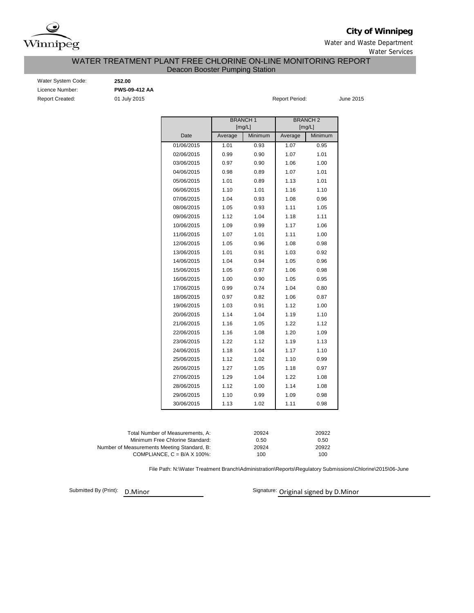

**City of Winnipeg**

Water and Waste Department Water Services

### Deacon Booster Pumping Station WATER TREATMENT PLANT FREE CHLORINE ON-LINE MONITORING REPORT

| Water System Code      |
|------------------------|
| Licence Number:        |
| <b>Report Created:</b> |

Water System Code: **252.00** Licence Number: **PWS-09-412 AA**

01 July 2015 **Report Period:** June 2015

|                     |         | <b>BRANCH1</b><br>[mg/L] |         | <b>BRANCH2</b><br>[mg/L] |
|---------------------|---------|--------------------------|---------|--------------------------|
| Date                | Average | Minimum                  | Average | Minimum                  |
| 01/06/2015          | 1.01    | 0.93                     | 1.07    | 0.95                     |
| 02/06/2015          | 0.99    | 0.90                     | 1.07    | 1.01                     |
| 03/06/2015          | 0.97    | 0.90                     | 1.06    | 1.00                     |
| 04/06/2015          | 0.98    | 0.89                     | 1.07    | 1.01                     |
| 05/06/2015          | 1.01    | 0.89                     | 1.13    | 1.01                     |
| 06/06/2015          | 1.10    | 1.01                     | 1.16    | 1.10                     |
| 07/06/2015          | 1.04    | 0.93                     | 1.08    | 0.96                     |
| 08/06/2015          | 1.05    | 0.93                     | 1.11    | 1.05                     |
| 09/06/2015          | 1.12    | 1.04                     | 1.18    | 1.11                     |
| 10/06/2015          | 1.09    | 0.99                     | 1.17    | 1.06                     |
| 11/06/2015          | 1.07    | 1.01                     | 1.11    | 1.00                     |
| 12/06/2015          | 1.05    | 0.96                     | 1.08    | 0.98                     |
| 13/06/2015          | 1.01    | 0.91                     | 1.03    | 0.92                     |
| 14/06/2015          | 1.04    | 0.94                     | 1.05    | 0.96                     |
| 15/06/2015          | 1.05    | 0.97                     | 1.06    | 0.98                     |
| 16/06/2015          | 1.00    | 0.90                     | 1.05    | 0.95                     |
| 17/06/2015          | 0.99    | 0.74                     | 1.04    | 0.80                     |
| 18/06/2015          | 0.97    | 0.82                     | 1.06    | 0.87                     |
| 19/06/2015          | 1.03    | 0.91                     | 1.12    | 1.00                     |
| 20/06/2015          | 1.14    | 1.04                     | 1.19    | 1.10                     |
| 21/06/2015          | 1.16    | 1.05                     | 1.22    | 1.12                     |
| 22/06/2015          | 1.16    | 1.08                     | 1.20    | 1.09                     |
| 23/06/2015          | 1.22    | 1.12                     | 1.19    | 1.13                     |
| 24/06/2015          | 1.18    | 1.04                     | 1.17    | 1.10                     |
| 25/06/2015          | 1.12    | 1.02                     | 1.10    | 0.99                     |
| 26/06/2015          | 1.27    | 1.05                     | 1.18    | 0.97                     |
| 27/06/2015          | 1.29    | 1.04                     | 1.22    | 1.08                     |
| 28/06/2015          | 1.12    | 1.00                     | 1.14    | 1.08                     |
| 29/06/2015          | 1.10    | 0.99                     | 1.09    | 0.98                     |
| 30/06/2015          | 1.13    | 1.02                     | 1.11    | 0.98                     |
|                     |         |                          |         |                          |
| of Measurements, A: |         | 20924                    |         | 20922                    |

| Total Number of Measurements. A:            | 20924 | 20922 |
|---------------------------------------------|-------|-------|
| Minimum Free Chlorine Standard:             | 0.50  | 0.50  |
| Number of Measurements Meeting Standard, B: | 20924 | 20922 |
| COMPLIANCE, $C = B/A \times 100\%$          | 100   | 100   |
|                                             |       |       |

File Path: N:\Water Treatment Branch\Administration\Reports\Regulatory Submissions\Chlorine\2015\06-June

Submitted By (Print): D.Minor

Signature: Original signed by D.Minor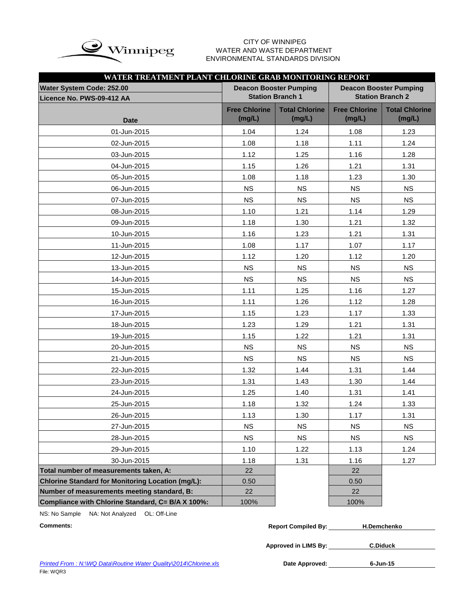

# WATER AND WASTE DEPARTMENT ENVIRONMENTAL STANDARDS DIVISION

| WATER TREATMENT PLANT CHLORINE GRAB MONITORING REPORT |                                |                                 |                                |                                 |  |  |  |  |  |
|-------------------------------------------------------|--------------------------------|---------------------------------|--------------------------------|---------------------------------|--|--|--|--|--|
| <b>Water System Code: 252.00</b>                      |                                | <b>Deacon Booster Pumping</b>   | <b>Deacon Booster Pumping</b>  |                                 |  |  |  |  |  |
| Licence No. PWS-09-412 AA                             |                                | <b>Station Branch 1</b>         |                                | <b>Station Branch 2</b>         |  |  |  |  |  |
| <b>Date</b>                                           | <b>Free Chlorine</b><br>(mg/L) | <b>Total Chlorine</b><br>(mg/L) | <b>Free Chlorine</b><br>(mg/L) | <b>Total Chlorine</b><br>(mg/L) |  |  |  |  |  |
| 01-Jun-2015                                           | 1.04                           | 1.24                            | 1.08                           | 1.23                            |  |  |  |  |  |
| 02-Jun-2015                                           | 1.08                           | 1.18                            | 1.11                           | 1.24                            |  |  |  |  |  |
| 03-Jun-2015                                           | 1.12                           | 1.25                            | 1.16                           | 1.28                            |  |  |  |  |  |
| 04-Jun-2015                                           | 1.15                           | 1.26                            | 1.21                           | 1.31                            |  |  |  |  |  |
| 05-Jun-2015                                           | 1.08                           | 1.18                            | 1.23                           | 1.30                            |  |  |  |  |  |
| 06-Jun-2015                                           | <b>NS</b>                      | <b>NS</b>                       | <b>NS</b>                      | <b>NS</b>                       |  |  |  |  |  |
| 07-Jun-2015                                           | <b>NS</b>                      | <b>NS</b>                       | <b>NS</b>                      | <b>NS</b>                       |  |  |  |  |  |
| 08-Jun-2015                                           | 1.10                           | 1.21                            | 1.14                           | 1.29                            |  |  |  |  |  |
| 09-Jun-2015                                           | 1.18                           | 1.30                            | 1.21                           | 1.32                            |  |  |  |  |  |
| 10-Jun-2015                                           | 1.16                           | 1.23                            | 1.21                           | 1.31                            |  |  |  |  |  |
| 11-Jun-2015                                           | 1.08                           | 1.17                            | 1.07                           | 1.17                            |  |  |  |  |  |
| 12-Jun-2015                                           | 1.12                           | 1.20                            | 1.12                           | 1.20                            |  |  |  |  |  |
| 13-Jun-2015                                           | <b>NS</b>                      | <b>NS</b>                       | <b>NS</b>                      | <b>NS</b>                       |  |  |  |  |  |
| 14-Jun-2015                                           | <b>NS</b>                      | <b>NS</b>                       | <b>NS</b>                      | <b>NS</b>                       |  |  |  |  |  |
| 15-Jun-2015                                           | 1.11                           | 1.25                            | 1.16                           | 1.27                            |  |  |  |  |  |
| 16-Jun-2015                                           | 1.11                           | 1.26                            | 1.12                           | 1.28                            |  |  |  |  |  |
| 17-Jun-2015                                           | 1.15                           | 1.23                            | 1.17                           | 1.33                            |  |  |  |  |  |
| 18-Jun-2015                                           | 1.23                           | 1.29                            | 1.21                           | 1.31                            |  |  |  |  |  |
| 19-Jun-2015                                           | 1.15                           | 1.22                            | 1.21                           | 1.31                            |  |  |  |  |  |
| 20-Jun-2015                                           | <b>NS</b>                      | <b>NS</b>                       | <b>NS</b>                      | <b>NS</b>                       |  |  |  |  |  |
| 21-Jun-2015                                           | <b>NS</b>                      | <b>NS</b>                       | <b>NS</b>                      | <b>NS</b>                       |  |  |  |  |  |
| 22-Jun-2015                                           | 1.32                           | 1.44                            | 1.31                           | 1.44                            |  |  |  |  |  |
| 23-Jun-2015                                           | 1.31                           | 1.43                            | 1.30                           | 1.44                            |  |  |  |  |  |
| 24-Jun-2015                                           | 1.25                           | 1.40                            | 1.31                           | 1.41                            |  |  |  |  |  |
| 25-Jun-2015                                           | 1.18                           | 1.32                            | 1.24                           | 1.33                            |  |  |  |  |  |
| 26-Jun-2015                                           | 1.13                           | 1.30                            | 1.17                           | 1.31                            |  |  |  |  |  |
| 27-Jun-2015                                           | <b>NS</b>                      | <b>NS</b>                       | <b>NS</b>                      | <b>NS</b>                       |  |  |  |  |  |
| 28-Jun-2015                                           | <b>NS</b>                      | <b>NS</b>                       | <b>NS</b>                      | <b>NS</b>                       |  |  |  |  |  |
| 29-Jun-2015                                           | 1.10                           | 1.22                            | 1.13                           | 1.24                            |  |  |  |  |  |
| 30-Jun-2015                                           | 1.18                           | 1.31                            | 1.16                           | 1.27                            |  |  |  |  |  |
| Total number of measurements taken, A:                | 22                             |                                 | 22                             |                                 |  |  |  |  |  |
| Chlorine Standard for Monitoring Location (mg/L):     | 0.50                           |                                 | 0.50                           |                                 |  |  |  |  |  |
| Number of measurements meeting standard, B:           | 22                             |                                 | 22                             |                                 |  |  |  |  |  |
| Compliance with Chlorine Standard, C= B/A X 100%:     | 100%                           |                                 | 100%                           |                                 |  |  |  |  |  |

NS: No Sample NA: Not Analyzed OL: Off-Line

| Comments: | <b>Report Compiled By:</b> | <b>H.Demchenko</b> |  |
|-----------|----------------------------|--------------------|--|
|           |                            |                    |  |

**Approved in LIMS By: C.Diduck**

Date Approved: 6-Jun-15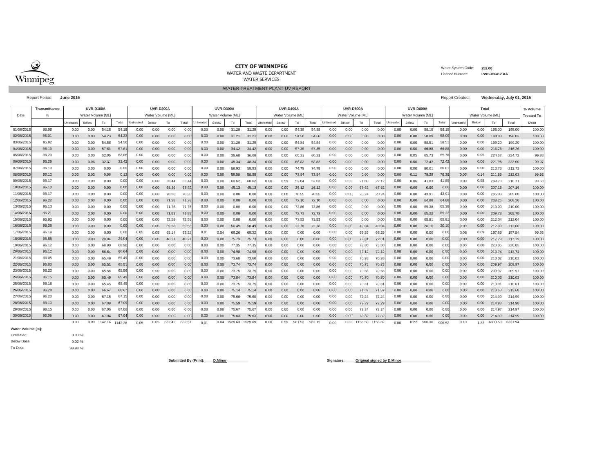

#### **CITY OF WINNIPEG**

WATER AND WASTE DEPARTMENT

WATER TREATMENT PLANT UV REPORT

WATER SERVICES

#### Water System Code: **252.00** Licence Number:**PWS-09-412 AA**

Report Period: **June 2015** Report Created: **Wednesday, July 01, 2015**

|            | Transmittance |                   | <b>UVR-D100A</b> |                      |       |           | <b>UVR-D200A</b>  |        |        |          | <b>UVR-D300A</b>  |              |         |                   | <b>UVR-D400A</b> |        |                   |          | <b>UVR-D500A</b> |                      |       |                   | <b>UVR-D600A</b> |                   |        |           | Total |                   |         | % Volume |
|------------|---------------|-------------------|------------------|----------------------|-------|-----------|-------------------|--------|--------|----------|-------------------|--------------|---------|-------------------|------------------|--------|-------------------|----------|------------------|----------------------|-------|-------------------|------------------|-------------------|--------|-----------|-------|-------------------|---------|----------|
| Date       |               | Water Volume [ML] |                  |                      |       |           | Water Volume [ML] |        |        |          | Water Volume [ML] |              |         | Water Volume [ML] |                  |        | Water Volume [ML] |          |                  | Water Volume [ML]    |       |                   |                  | Water Volume [ML] |        |           |       | <b>Treated To</b> |         |          |
|            |               | <b>Untreate</b>   | Below            | To                   | Total | Untreated | Below             | To     | Total  | Untreate | Below             | To           | Total   | Untreated         | Below            | To     | Total             | Untreate | Below            | To                   | Total | Untreated         | Below            | To                | Total  | Untreated | Below | To                | Total   | Dose     |
| 01/06/201  | 96.05         | 0.00              | 0.00             | 54.18                | 54.1  | 0.00      | 0.00              | 0.00   | 0.0    | 0.00     | 0.00              | 31.29        | 31.29   | 0.00              | 0.00             | 54.38  | 54.3              | 0.00     | 0.00             | 0.00                 | 0.0(  | 0.00              | 0.00             | 58.15             | 58.1   | 0.00      | 0.00  | 198.00            | 198.00  | 100.00   |
| 02/06/201  | 96.01         | 0.00              | 0.00             | 54.23                | 54.2  | 0.00      | 0.00              | 0.00   | 0.0(   | 0.00     | 0.00              | 31.21        | 31.2    | 0.00              | 0.00             | 54.50  | 54.5              | 0.00     | 0.00             | 0.00                 | 0.00  | 0.00              | 0.00             | 58.09             | 58.0   | 0.00      | 0.00  | 198.03            | 198.03  | 100.00   |
| 03/06/201  | 95.92         | 0.00              | 0.00             | 54.56                | 54.5  | 0.00      | 0.00              | 0.00   | 0.0(   | 0.00     | 0.00              | 31.29        | 31.29   | 0.00              | 0.00             | 54.84  | 54.84             | 0.00     | 0.00             | 0.00                 | 0.00  | 0.00              | 0.00             | 58.51             | 58.5   | 0.00      | 0.00  | 199.20            | 199.20  | 100.00   |
| 04/06/201  | 96.19         | 0.00              | 0.00             | 57.61                | 57.6  | 0.00      | 0.00              | 0.00   | 0.00   | 0.00     | 0.00              | 34.42        | 34.42   | 0.00              | 0.00             | 57.35  | 57.3              | 0.00     | 0.00             | 0.00                 | 0.00  | 0.00              | 0.00             | 66.88             | 66.88  | 0.00      | 0.00  | 216.26            | 216.26  | 100.00   |
| 05/06/201  | 96.20         | 0.00              | 0.00             | 62.06                | 62.0  | 0.00      | 0.00              | 0.00   | 0.00   | 0.00     | 0.00              | 36.68        | 36.68   | 0.00              | 0.00             | 60.21  | 60.2              | 0.00     | 0.00             | 0.00                 | 0.00  | 0.00              | 0.05             | 65.73             | 65.78  | 0.00      | 0.05  | 224.67            | 224.72  | 99.98    |
| 06/06/201  | 96.26         | 0.00              | 0.06             | 32.37                | 32.42 | 0.00      | 0.00              | 0.00   | 0.00   | 0.00     | 0.00              | 48.34        | 48.34   | 0.00              | 0.00             | 68.82  | 68.8              | 0.00     | 0.00             | 0.00                 | 0.00  | 0.00              | 0.00             | 72.42             | 72.42  | 0.00      | 0.06  | 221.95            | 222.00  | 99.97    |
| 07/06/201  | 96.10         | 0.00              | 0.00             | 0.00                 | 0.00  | 0.00      | 0.00              | 0.00   | 0.00   | 0.00     | 0.00              | 58.93        | 58.93   | 0.00              | 0.00             | 74.79  | 74.7              | 0.00     | 0.00             | 0.00                 | 0.00  | 0.00              | 0.00             | 80.01             | 80.0   | 0.00      | 0.00  | 213.73            | 213.73  | 100.00   |
| 08/06/201  | 96.12         | 0.03              | 0.03             | 0.06                 | 0.1   | 0.00      | 0.00              | 0.00   | 0.0(   | 0.00     | 0.00              | 58.58        | 58.5    | 0.00              | 0.00             | 73.94  | 73.9              | 0.00     | 0.00             | 0.00                 | 0.00  | 0.00              | 0.11             | 79.28             | 79.3   | 0.03      | 0.14  | 211.86            | 212.03  | 99.92    |
| 09/06/201  | 96.17         | 0.00              | 0.00             | 0.00                 | 0.00  | 0.00      | 0.00              | 33.44  | 33.44  | 0.00     | 0.00              | 60.62        | 60.62   | 0.00              | 0.59             | 52.04  | 52.6              | 0.00     | 0.33             | 21.80                | 22.1  | 0.00              | 0.06             | 41.83             | 41.8   | 0.00      | 0.98  | 209.73            | 210.7   | 99.53    |
| 10/06/201  | 96.10         | 0.00              | 0.00             | 0.00                 | 0.00  | 0.00      | 0.00              | 68.29  | 68.2   | 0.00     | 0.00              | 45.13        | 45.1    | 0.00              | 0.00             | 26.12  | 26.1              | 0.00     | 0.00             | 67.62                | 67.6  | 0.00              | 0.00             | 0.00              | 0.00   | 0.00      | 0.00  | 207.16            | 207.16  | 100.00   |
| 11/06/201  | 96.17         | 0.00              | 0.00             | 0.00                 | 0.00  | 0.00      | 0.00              | 70.30  | 70.3   | 0.00     | 0.00              | 0.00         | 0.00    | 0.00              | 0.00             | 70.55  | 70.5              | 0.00     | 0.00             | 20.24                | 20.24 | 0.00              | 0.00             | 43.91             | 43.9   | 0.00      | 0.00  | 205.00            | 205.00  | 100.00   |
| 12/06/201  | 96.22         | 0.00              | 0.00             | 0.00                 | 0.00  | 0.00      | 0.00              | 71.28  | 71.2   | 0.00     | 0.00              | 0.00         | 0.00    | 0.00              | 0.00             | 72.10  | 72.1              | 0.00     | 0.00             | 0.00                 | 0.00  | 0.00              | 0.00             | 64.88             | 64.8   | 0.00      | 0.00  | 208.26            | 208.26  | 100.00   |
| 13/06/201  | 96.13         | 0.00              | 0.00             | 0.00                 | 0.00  | 0.00      | 0.00              | 71.76  | 71.7   | 0.00     | 0.00              | 0.00         | 0.00    | 0.00              | 0.00             | 72.86  | 72.8              | 0.00     | 0.00             | 0.00                 | 0.0(  | 0.00              | 0.00             | 65.38             | 65.38  | 0.00      | 0.00  | 210.00            | 210.00  | 100.00   |
| 14/06/201  | 96.21         | 0.00              | 0.00             | 0.00                 | 0.00  | 0.00      | 0.00              | 71.83  | 71.8   | 0.00     | 0.00              | 0.00         | 0.00    | 0.00              | 0.00             | 72.73  | 72.7              | 0.00     | 0.00             | 0.00                 | 0.00  | 0.00              | 0.00             | 65.22             | 65.2   | 0.00      | 0.00  | 209.78            | 209.78  | 100.00   |
| 15/06/201  | 95.92         | 0.00              | 0.00             | 0.00                 | 0.00  | 0.00      | 0.00              | 72.59  | 72.5   | 0.00     | 0.00              | 0.00         | 0.00    | 0.00              | 0.00             | 73.53  | 73.5              | 0.00     | 0.00             | 0.00                 | 0.00  | 0.00              | 0.00             | 65.91             | 65.9   | 0.00      | 0.00  | 212.04            | 212.04  | 100.00   |
| 16/06/201  | 96.25         | 0.00              | 0.00             | 0.00                 | 0.00  | 0.00      | 0.00              | 69.58  | 69.58  | 0.00     | 0.00              | 50.49        | 50.49   | 0.00              | 0.00             | 22.78  | 22.78             | 0.00     | 0.00             | 49.04                | 49.04 | 0.00 <sub>1</sub> | 0.00             | 20.10             | 20.10  | 0.00      | 0.00  | 212.00            | 212.00  | 100.00   |
| 17/06/201  | 96.19         | 0.00              | 0.00             | 0.00                 | 0.00  | 0.05      | 0.05              | 63.    | 63.2   | 0.01     | 0.04              | 68.26        | 68.32   | 0.00              | 0.00             | 0.00   | 0.0               | 0.00     | 0.00             | 66.29                | 66.29 | 0.00              | 0.00             | 0.00              | 0.00   | 0.06      | 0.09  | 197.69            | 197.84  | 99.93    |
| 18/06/201  | 95.88         | 0.00              | 0.00             | 29.04                | 29.04 | 0.00      | 0.00              | 40.21  | 40.2   | 0.00     | 0.00              | 75.73        | 75.73   | 0.00              | 0.00             | 0.00   | 0.00              | 0.00     | 0.00             | 72.8                 | 72.8  | 0.00              | 0.00             | 0.00              | 0.00   | 0.00      | 0.00  | 217.79            | 217.7   | 100.00   |
| 19/06/201  | 96.12         | 0.00              | 0.00             | 68.90                | 68.90 | 0.00      | 0.00              | 0.00   | 0.0    | 0.00     | 0.00              | 77.35        | 77.3    | 0.00              | 0.00             | 0.00   | 0.0               | 0.00     | 0.00             | 73.80                | 73.8  | 0.00              | 0.00             | 0.00              | 0.00   | 0.00      | 0.00  | 220.05            | 220.0   | 100.00   |
| 20/06/201  | 96.12         | 0.00              | 0.00             | 66.64                | 66.6  | 0.00      | 0.00              | 0.00   | 0.0(   | 0.00     | 0.00              | 74.98        | 74.98   | 0.00              | 0.00             | 0.00   | 0.0               | 0.00     | 0.00             | 72.12                | 72.12 | 0.00              | 0.00             | 0.00              | 0.00   | 0.00      | 0.00  | 213.74            | 213.74  | 100.00   |
| 21/06/201  | 96.05         | 0.00              | 0.00             | 65.49                | 65.4  | 0.00      | 0.00              | 0.00   | 0.00   | 0.00     | 0.00              | 73.60        | 73.60   | 0.00              | 0.00             | 0.00   | 0.0               | 0.00     | 0.00             | 70.93                | 70.93 | 0.00              | 0.00             | 0.00              | 0.00   | 0.00      | 0.00  | 210.02            | 210.02  | 100.00   |
| 22/06/201  | 96.00         | 0.00              | 0.00             | 65.51                | 65.5  | 0.00      | 0.00              | 0.00   | 0.00   | 0.00     | 0.00              | 73.74        | 73.74   | 0.00              | 0.00             | 0.00   | 0.0               | 0.00     | 0.00             | 70.73                | 70.73 | 0.00              | 0.00             | 0.00              | 0.00   | 0.00      | 0.00  | 209.97            | 209.97  | 100.00   |
| 23/06/201  | 96.22         | 0.00              | 0.00             | 65.56                | 65.56 | 0.00      | 0.00              | 0.00   | 0.00   | 0.00     | 0.00              | 73.75        | 73.75   | 0.00              | 0.00             | 0.00   | 0.0               | 0.00     | 0.00             | 70.66                | 70.66 | 0.00              | 0.00             | 0.00              | 0.00   | 0.00      | 0.00  | 209.97            | 209.9   | 100.00   |
| 24/06/201  | 96.15         | 0.00              | 0.00             | 65.49                | 65.4  | 0.00      | 0.00              | 0.00   | 0.00   | 0.00     | 0.00              | 73.84        | 73.8    | 0.00              | 0.00             | 0.00   | 0.0               | 0.00     | 0.00             | 70.70                | 70.7  | 0.00              | 0.00             | 0.00              | 0.00   | 0.00      | 0.00  | 210.03            | 210.0   | 100.00   |
| 25/06/201  | 96.16         | 0.00              | 0.00             | 65.45                | 65.4  | 0.00      | 0.00              | 0.00   | 0.0    | 0.00     | 0.00              | 73.75        | 73.7    | 0.00              | 0.00             | 0.00   | 0.0               | 0.00     | 0.00             | 70.8 <sup>°</sup>    | 70.8  | 0.00              | 0.00             | 0.00              | 0.00   | 0.00      | 0.00  | 210.01            | 210.0   | 100.00   |
| 26/06/201  | 96.28         | 0.00              | 0.00             | 66.67                | 66.6  | 0.00      | 0.00              | 0.00   | 0.00   | 0.00     | 0.00              | 75.14        | 75.1    | 0.00              | 0.00             | 0.00   | 0.0               | 0.00     | 0.00             | 71.87                | 71.8  | 0.00              | 0.00             | 0.00              | 0.00   | 0.00      | 0.00  | 213.68            | 213.68  | 100.00   |
| 27/06/201  | 96.23         | 0.00              | 0.00             | 67.15                | 67.1  | 0.00      | 0.00              | 0.00   | 0.00   | 0.00     | 0.00              | 75.60        | 75.60   | 0.00              | 0.00             | 0.00   | 0.0               | 0.00     | 0.00             | 72.24                | 72.24 | 0.00              | 0.00             | 0.00              | 0.00   | 0.00      | 0.00  | 214.99            | 214.99  | 100.00   |
| 28/06/2015 | 96.13         | 0.00              | 0.00             | 67.09                | 67.09 | 0.00      | 0.00              | 0.00   | 0.00   | 0.00     | 0.00              | 75.59        | 75.59   | 0.00              | 0.00             | 0.00   | 0.0               | 0.00     | 0.00             | 72.29                | 72.29 | 0.00              | 0.00             | 0.00              | 0.00   | 0.00      | 0.00  | 214.98            | 214.98  | 100.00   |
| 29/06/201  | 96.15         | 0.00              | 0.00             | 67.06                | 67.06 | 0.00      | 0.00              | 0.00   | 0.0(   | 0.00     | 0.00              | 75.67        | 75.67   | 0.00              | 0.00             | 0.00   | 0.0               | 0.00     | 0.00             | 72.24                | 72.24 | 0.00              | 0.00             | 0.00              | 0.00   | 0.00      | 0.00  | 214.97            | 214.97  | 100.00   |
| 30/06/201  | 96.06         | 0.00              | 0.00             | 67.04                | 67.04 | 0.00      | 0.00              | 0.00   | 0.00   | 0.00     | 0.00              | 75.63        | 75.63   | 0.00              | 0.00             | 0.00   | 0.0               | 0.00     | 0.00             | 72.32                | 72.32 | 0.00              | 0.00             | 0.00              | 0.00   | 0.00      | 0.00  | 214.99            | 214.99  | 100.00   |
|            |               | 0.03              |                  | 0.09 1142.16 1142.28 |       | 0.05      | 0.05              | 632.42 | 632.51 | 0.01     |                   | 0.04 1529.63 | 1529.69 | 0.00              | 0.59             | 961.53 | 962.12            | 0.00     |                  | 0.33 1158.50 1158.82 |       | 0.00              | 0.22             | 906.30            | 906.52 | 0.10      | 1.32  | 6330.53           | 6331.94 |          |

#### **Water Volume [%]:**

Untreated: To Dose Below Dose 0.00 % $0.02%$ 99.98 %

**Submitted By (Print): \_\_\_\_D.Minor\_\_\_\_\_\_\_\_\_\_\_ Signature: \_\_\_\_\_Original signed by D.Minor\_\_\_\_\_\_\_\_\_\_\_\_\_\_\_**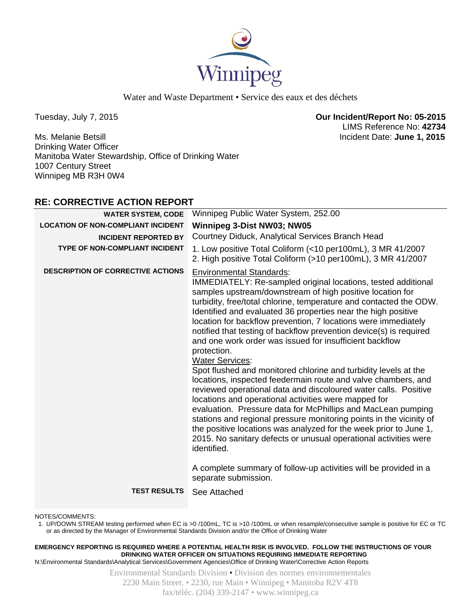

Ms. Melanie Betsill Incident Date: **June 1, 2015**  Drinking Water Officer Manitoba Water Stewardship, Office of Drinking Water 1007 Century Street Winnipeg MB R3H 0W4

# **RE: CORRECTIVE ACTION REPORT**

| <b>WATER SYSTEM, CODE</b>                 | Winnipeg Public Water System, 252.00                                                                                                                                                                                                                                                                                                                                                                                                                                                                                                                                                                                                                                                                                                                                                                                                                                                                                                                                                                                                                                                                                                                                                                       |
|-------------------------------------------|------------------------------------------------------------------------------------------------------------------------------------------------------------------------------------------------------------------------------------------------------------------------------------------------------------------------------------------------------------------------------------------------------------------------------------------------------------------------------------------------------------------------------------------------------------------------------------------------------------------------------------------------------------------------------------------------------------------------------------------------------------------------------------------------------------------------------------------------------------------------------------------------------------------------------------------------------------------------------------------------------------------------------------------------------------------------------------------------------------------------------------------------------------------------------------------------------------|
| <b>LOCATION OF NON-COMPLIANT INCIDENT</b> | Winnipeg 3-Dist NW03; NW05                                                                                                                                                                                                                                                                                                                                                                                                                                                                                                                                                                                                                                                                                                                                                                                                                                                                                                                                                                                                                                                                                                                                                                                 |
| <b>INCIDENT REPORTED BY</b>               | Courtney Diduck, Analytical Services Branch Head                                                                                                                                                                                                                                                                                                                                                                                                                                                                                                                                                                                                                                                                                                                                                                                                                                                                                                                                                                                                                                                                                                                                                           |
| <b>TYPE OF NON-COMPLIANT INCIDENT</b>     | 1. Low positive Total Coliform (<10 per100mL), 3 MR 41/2007<br>2. High positive Total Coliform (>10 per100mL), 3 MR 41/2007                                                                                                                                                                                                                                                                                                                                                                                                                                                                                                                                                                                                                                                                                                                                                                                                                                                                                                                                                                                                                                                                                |
| <b>DESCRIPTION OF CORRECTIVE ACTIONS</b>  | <b>Environmental Standards:</b><br>IMMEDIATELY: Re-sampled original locations, tested additional<br>samples upstream/downstream of high positive location for<br>turbidity, free/total chlorine, temperature and contacted the ODW.<br>Identified and evaluated 36 properties near the high positive<br>location for backflow prevention, 7 locations were immediately<br>notified that testing of backflow prevention device(s) is required<br>and one work order was issued for insufficient backflow<br>protection.<br><b>Water Services:</b><br>Spot flushed and monitored chlorine and turbidity levels at the<br>locations, inspected feedermain route and valve chambers, and<br>reviewed operational data and discoloured water calls. Positive<br>locations and operational activities were mapped for<br>evaluation. Pressure data for McPhillips and MacLean pumping<br>stations and regional pressure monitoring points in the vicinity of<br>the positive locations was analyzed for the week prior to June 1,<br>2015. No sanitary defects or unusual operational activities were<br>identified.<br>A complete summary of follow-up activities will be provided in a<br>separate submission. |
| <b>TEST RESULTS</b>                       | See Attached                                                                                                                                                                                                                                                                                                                                                                                                                                                                                                                                                                                                                                                                                                                                                                                                                                                                                                                                                                                                                                                                                                                                                                                               |
|                                           |                                                                                                                                                                                                                                                                                                                                                                                                                                                                                                                                                                                                                                                                                                                                                                                                                                                                                                                                                                                                                                                                                                                                                                                                            |

NOTES/COMMENTS:

1. UP/DOWN STREAM testing performed when EC is >0 /100mL, TC is >10 /100mL or when resample/consecutive sample is positive for EC or TC or as directed by the Manager of Environmental Standards Division and/or the Office of Drinking Water

**EMERGENCY REPORTING IS REQUIRED WHERE A POTENTIAL HEALTH RISK IS INVOLVED. FOLLOW THE INSTRUCTIONS OF YOUR DRINKING WATER OFFICER ON SITUATIONS REQUIRING IMMEDIATE REPORTING**

N:\Environmental Standards\Analytical Services\Government Agencies\Office of Drinking Water\Corrective Action Reports

Environmental Standards Division • Division des normes environnementales 2230 Main Street. • 2230, rue Main • Winnipeg • Manitoba R2V 4T8 fax/téléc. (204) 339-2147 • www.winnipeg.ca

Tuesday, July 7, 2015 **Our Incident/Report No: 05-2015**  LIMS Reference No: **42734**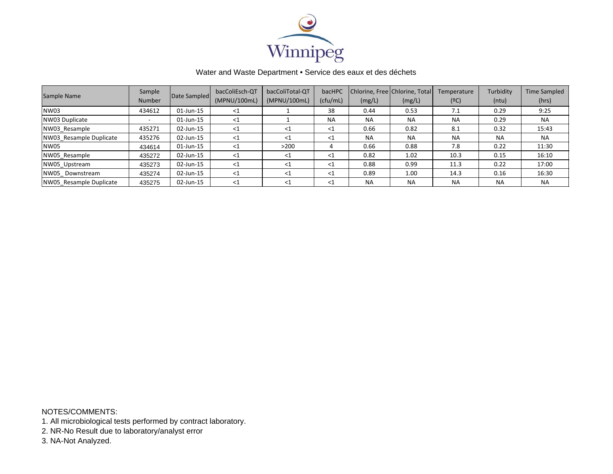

| Sample Name             | Sample<br><b>Number</b> | Date Sampled | bacColiEsch-QT<br>(MPNU/100mL) | bacColiTotal-QT<br>(MPNU/100mL) | bacHPC<br>(cfu/mL) | (mg/L)    | Chlorine, Free Chlorine, Total<br>(mg/L) | Temperature<br>(°C) | Turbidity<br>(ntu) | <b>Time Sampled</b><br>(hrs) |
|-------------------------|-------------------------|--------------|--------------------------------|---------------------------------|--------------------|-----------|------------------------------------------|---------------------|--------------------|------------------------------|
| NW03                    | 434612                  | 01-Jun-15    | $<$ 1                          |                                 | 38                 | 0.44      | 0.53                                     | 7.1                 | 0.29               | 9:25                         |
| NW03 Duplicate          | -                       | 01-Jun-15    | $<$ 1                          |                                 | <b>NA</b>          | <b>NA</b> | <b>NA</b>                                | <b>NA</b>           | 0.29               | <b>NA</b>                    |
| NW03 Resample           | 435271                  | 02-Jun-15    | $<$ 1                          | -<1                             | $<$ 1              | 0.66      | 0.82                                     | 8.1                 | 0.32               | 15:43                        |
| NW03 Resample Duplicate | 435276                  | 02-Jun-15    | $<$ 1                          | $\leq 1$                        | $\leq 1$           | <b>NA</b> | <b>NA</b>                                | <b>NA</b>           | <b>NA</b>          | <b>NA</b>                    |
| NW05                    | 434614                  | 01-Jun-15    | $<$ 1                          | >200                            |                    | 0.66      | 0.88                                     | 7.8                 | 0.22               | 11:30                        |
| NW05 Resample           | 435272                  | 02-Jun-15    | $<$ 1                          | $<$ 1                           | $<$ 1              | 0.82      | 1.02                                     | 10.3                | 0.15               | 16:10                        |
| NW05 Upstream           | 435273                  | 02-Jun-15    | $<$ 1                          | $<$ 1                           | $<$ 1              | 0.88      | 0.99                                     | 11.3                | 0.22               | 17:00                        |
| NW05 Downstream         | 435274                  | 02-Jun-15    | $<$ 1                          | $<$ 1                           | $<$ 1              | 0.89      | 1.00                                     | 14.3                | 0.16               | 16:30                        |
| NW05 Resample Duplicate | 435275                  | 02-Jun-15    | $<$ 1                          | $<$ 1                           | $<$ 1              | <b>NA</b> | <b>NA</b>                                | <b>NA</b>           | <b>NA</b>          | <b>NA</b>                    |

NOTES/COMMENTS:

1. All microbiological tests performed by contract laboratory.

2. NR-No Result due to laboratory/analyst error

3. NA-Not Analyzed.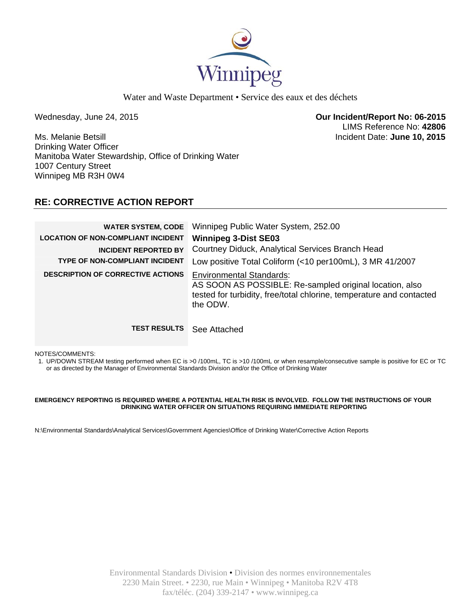

Wednesday, June 24, 2015 **Our Incident/Report No: 06-2015**  LIMS Reference No: **42806**

Ms. Melanie Betsill Incident Date: **June 10, 2015**  Drinking Water Officer Manitoba Water Stewardship, Office of Drinking Water 1007 Century Street Winnipeg MB R3H 0W4

# **RE: CORRECTIVE ACTION REPORT**

| <b>WATER SYSTEM, CODE</b><br><b>LOCATION OF NON-COMPLIANT INCIDENT</b><br><b>INCIDENT REPORTED BY</b><br><b>TYPE OF NON-COMPLIANT INCIDENT</b> | Winnipeg Public Water System, 252.00<br><b>Winnipeg 3-Dist SE03</b><br>Courtney Diduck, Analytical Services Branch Head                                                                                                                    |
|------------------------------------------------------------------------------------------------------------------------------------------------|--------------------------------------------------------------------------------------------------------------------------------------------------------------------------------------------------------------------------------------------|
| <b>DESCRIPTION OF CORRECTIVE ACTIONS</b>                                                                                                       | Low positive Total Coliform (<10 per100mL), 3 MR 41/2007<br><b>Environmental Standards:</b><br>AS SOON AS POSSIBLE: Re-sampled original location, also<br>tested for turbidity, free/total chlorine, temperature and contacted<br>the ODW. |
| <b>TEST RESULTS</b>                                                                                                                            | See Attached                                                                                                                                                                                                                               |

NOTES/COMMENTS:

1. UP/DOWN STREAM testing performed when EC is >0 /100mL, TC is >10 /100mL or when resample/consecutive sample is positive for EC or TC or as directed by the Manager of Environmental Standards Division and/or the Office of Drinking Water

### **EMERGENCY REPORTING IS REQUIRED WHERE A POTENTIAL HEALTH RISK IS INVOLVED. FOLLOW THE INSTRUCTIONS OF YOUR DRINKING WATER OFFICER ON SITUATIONS REQUIRING IMMEDIATE REPORTING**

N:\Environmental Standards\Analytical Services\Government Agencies\Office of Drinking Water\Corrective Action Reports